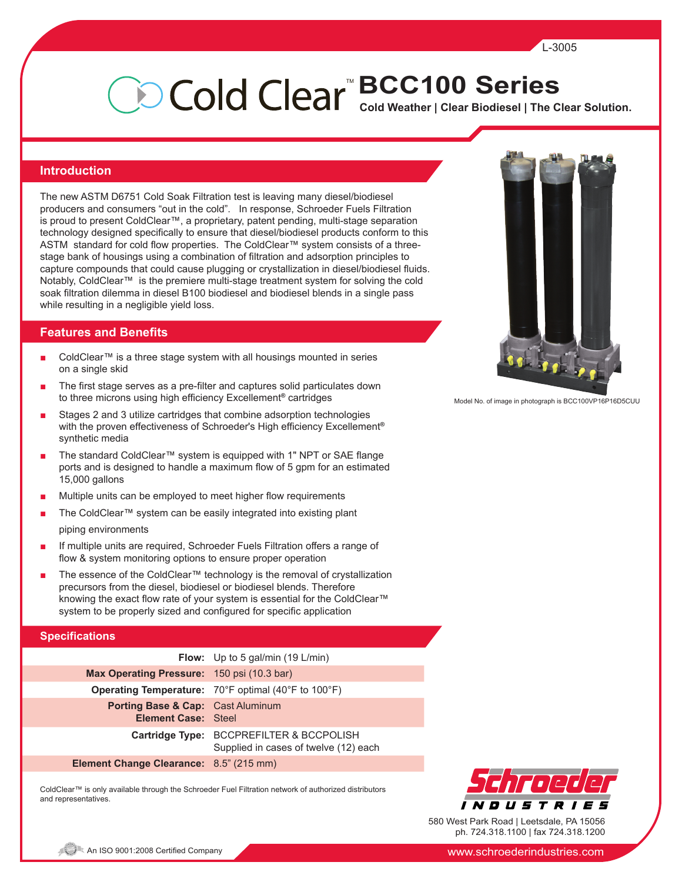# **Cold Weather | Clear Biodiesel | The Clear Solution.** <sup>™</sup>BCC100 Series

#### **Introduction**

The new ASTM D6751 Cold Soak Filtration test is leaving many diesel/biodiesel producers and consumers "out in the cold". In response, Schroeder Fuels Filtration is proud to present ColdClear™, a proprietary, patent pending, multi-stage separation technology designed specifically to ensure that diesel/biodiesel products conform to this ASTM standard for cold flow properties. The ColdClear™ system consists of a threestage bank of housings using a combination of filtration and adsorption principles to capture compounds that could cause plugging or crystallization in diesel/biodiesel fluids. Notably, ColdClear<sup>™</sup> is the premiere multi-stage treatment system for solving the cold soak filtration dilemma in diesel B100 biodiesel and biodiesel blends in a single pass while resulting in a negligible yield loss.

#### **Features and Benefits**

- ColdClear™ is a three stage system with all housings mounted in series on a single skid
- The first stage serves as a pre-filter and captures solid particulates down to three microns using high efficiency Excellement**®** cartridges
- Stages 2 and 3 utilize cartridges that combine adsorption technologies with the proven effectiveness of Schroeder's High efficiency Excellement**®** synthetic media
- The standard ColdClear™ system is equipped with 1" NPT or SAE flange ports and is designed to handle a maximum flow of 5 gpm for an estimated 15,000 gallons
- Multiple units can be employed to meet higher flow requirements
- The ColdClear™ system can be easily integrated into existing plant piping environments
- If multiple units are required, Schroeder Fuels Filtration offers a range of flow & system monitoring options to ensure proper operation
- The essence of the ColdClear™ technology is the removal of crystallization precursors from the diesel, biodiesel or biodiesel blends. Therefore knowing the exact flow rate of your system is essential for the ColdClear™ system to be properly sized and configured for specific application

#### **Specifications**

|                                                                            | <b>Flow:</b> Up to 5 gal/min $(19 L/min)$                                         |
|----------------------------------------------------------------------------|-----------------------------------------------------------------------------------|
| Max Operating Pressure: 150 psi (10.3 bar)                                 |                                                                                   |
|                                                                            | <b>Operating Temperature:</b> 70°F optimal (40°F to 100°F)                        |
| <b>Porting Base &amp; Cap:</b> Cast Aluminum<br><b>Element Case: Steel</b> |                                                                                   |
|                                                                            | Cartridge Type: BCCPREFILTER & BCCPOLISH<br>Supplied in cases of twelve (12) each |
| <b>Element Change Clearance:</b> 8.5" (215 mm)                             |                                                                                   |

ColdClear™ is only available through the Schroeder Fuel Filtration network of authorized distributors and representatives.



Model No. of image in photograph is BCC100VP16P16D5CUU



580 West Park Road | Leetsdale, PA 15056 ph. 724.318.1100 | fax 724.318.1200